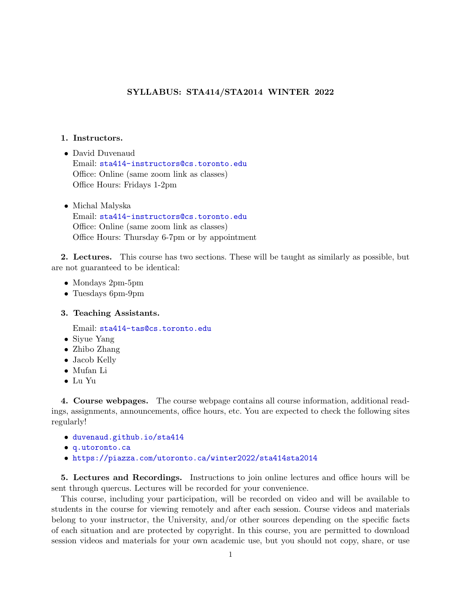## SYLLABUS: STA414/STA2014 WINTER 2022

### 1. Instructors.

- David Duvenaud Email: <sta414-instructors@cs.toronto.edu> Office: Online (same zoom link as classes) Office Hours: Fridays 1-2pm
- Michal Malyska Email: <sta414-instructors@cs.toronto.edu> Office: Online (same zoom link as classes) Office Hours: Thursday 6-7pm or by appointment

2. Lectures. This course has two sections. These will be taught as similarly as possible, but are not guaranteed to be identical:

- Mondays 2pm-5pm
- Tuesdays 6pm-9pm

#### 3. Teaching Assistants.

Email: <sta414-tas@cs.toronto.edu>

- Siyue Yang
- Zhibo Zhang
- Jacob Kelly
- Mufan Li
- Lu Yu

4. Course webpages. The course webpage contains all course information, additional readings, assignments, announcements, office hours, etc. You are expected to check the following sites regularly!

- <duvenaud.github.io/sta414>
- <q.utoronto.ca>
- <https://piazza.com/utoronto.ca/winter2022/sta414sta2014>

5. Lectures and Recordings. Instructions to join online lectures and office hours will be sent through quercus. Lectures will be recorded for your convenience.

This course, including your participation, will be recorded on video and will be available to students in the course for viewing remotely and after each session. Course videos and materials belong to your instructor, the University, and/or other sources depending on the specific facts of each situation and are protected by copyright. In this course, you are permitted to download session videos and materials for your own academic use, but you should not copy, share, or use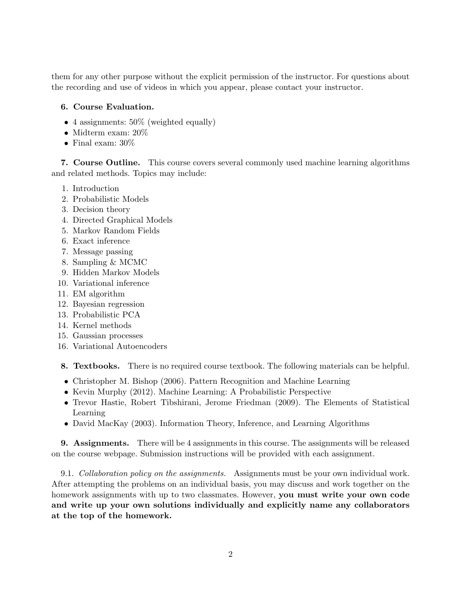them for any other purpose without the explicit permission of the instructor. For questions about the recording and use of videos in which you appear, please contact your instructor.

# 6. Course Evaluation.

- 4 assignments:  $50\%$  (weighted equally)
- Midterm exam: 20%
- Final exam:  $30\%$

7. Course Outline. This course covers several commonly used machine learning algorithms and related methods. Topics may include:

- 1. Introduction
- 2. Probabilistic Models
- 3. Decision theory
- 4. Directed Graphical Models
- 5. Markov Random Fields
- 6. Exact inference
- 7. Message passing
- 8. Sampling & MCMC
- 9. Hidden Markov Models
- 10. Variational inference
- 11. EM algorithm
- 12. Bayesian regression
- 13. Probabilistic PCA
- 14. Kernel methods
- 15. Gaussian processes
- 16. Variational Autoencoders

8. Textbooks. There is no required course textbook. The following materials can be helpful.

- Christopher M. Bishop (2006). Pattern Recognition and Machine Learning
- Kevin Murphy (2012). Machine Learning: A Probabilistic Perspective
- Trevor Hastie, Robert Tibshirani, Jerome Friedman (2009). The Elements of Statistical Learning
- David MacKay (2003). Information Theory, Inference, and Learning Algorithms

9. Assignments. There will be 4 assignments in this course. The assignments will be released on the course webpage. Submission instructions will be provided with each assignment.

9.1. Collaboration policy on the assignments. Assignments must be your own individual work. After attempting the problems on an individual basis, you may discuss and work together on the homework assignments with up to two classmates. However, you must write your own code and write up your own solutions individually and explicitly name any collaborators at the top of the homework.